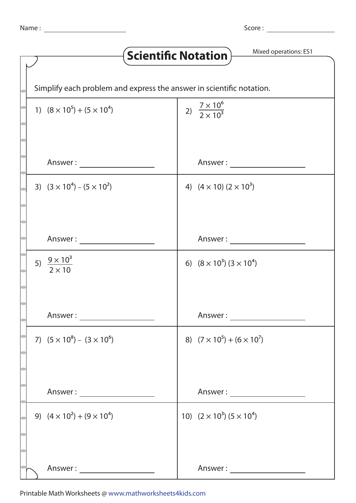Score :

| Mixed operations: ES1<br>Scientific Notation                         |                                          |
|----------------------------------------------------------------------|------------------------------------------|
|                                                                      |                                          |
| Simplify each problem and express the answer in scientific notation. |                                          |
| 1) $(8 \times 10^5) + (5 \times 10^4)$                               | 2) $\frac{7 \times 10^6}{2 \times 10^3}$ |
|                                                                      | Answer:                                  |
| 3) $(3 \times 10^4) - (5 \times 10^2)$                               | 4) $(4 \times 10) (2 \times 10^3)$       |
| Answer:                                                              | Answer:                                  |
| 5) $\frac{9 \times 10^3}{2 \times 10}$                               | 6) $(8 \times 10^3)$ $(3 \times 10^4)$   |
| Answer: _______________________                                      | Answer : ______________________          |
| 7) $(5 \times 10^8) - (3 \times 10^6)$                               | 8) $(7 \times 10^5) + (6 \times 10^7)$   |
| Answer : ________________________                                    | Answer : ______________________          |
| 9) $(4 \times 10^2) + (9 \times 10^4)$                               | 10) $(2 \times 10^3)$ $(5 \times 10^4)$  |
| Answer : ________________________                                    | Answer : ________________________        |